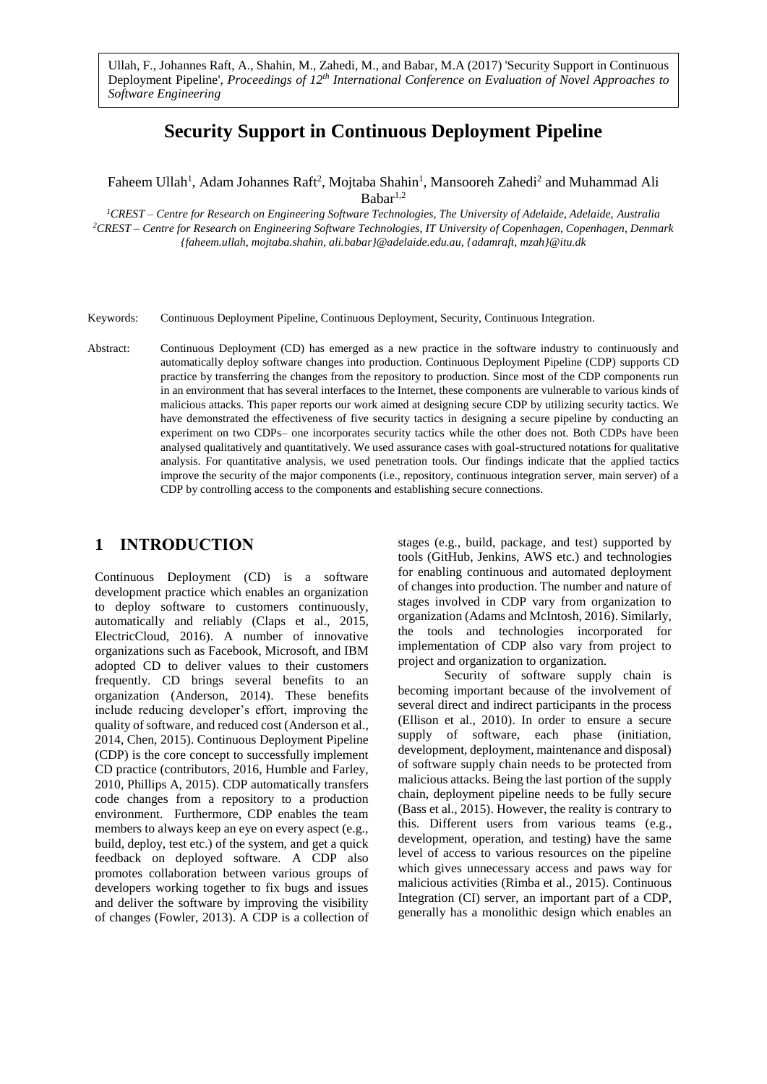Ullah, F., Johannes Raft, A., Shahin, M., Zahedi, M., and Babar, M.A (2017) 'Security Support in Continuous Deployment Pipeline', *Proceedings of 12th International Conference on Evaluation of Novel Approaches to Software Engineering*

# **Security Support in Continuous Deployment Pipeline**

Faheem Ullah<sup>1</sup>, Adam Johannes Raft<sup>2</sup>, Mojtaba Shahin<sup>1</sup>, Mansooreh Zahedi<sup>2</sup> and Muhammad Ali  $Babar<sup>1,2</sup>$ 

*<sup>1</sup>CREST – Centre for Research on Engineering Software Technologies, The University of Adelaide, Adelaide, Australia <sup>2</sup>CREST – Centre for Research on Engineering Software Technologies, IT University of Copenhagen, Copenhagen, Denmark {faheem.ullah, mojtaba.shahin, ali.babar}@adelaide.edu.au, {adamraft, mzah}@itu.dk*

Keywords: Continuous Deployment Pipeline, Continuous Deployment, Security, Continuous Integration.

Abstract: Continuous Deployment (CD) has emerged as a new practice in the software industry to continuously and automatically deploy software changes into production. Continuous Deployment Pipeline (CDP) supports CD practice by transferring the changes from the repository to production. Since most of the CDP components run in an environment that has several interfaces to the Internet, these components are vulnerable to various kinds of malicious attacks. This paper reports our work aimed at designing secure CDP by utilizing security tactics. We have demonstrated the effectiveness of five security tactics in designing a secure pipeline by conducting an experiment on two CDPs– one incorporates security tactics while the other does not. Both CDPs have been analysed qualitatively and quantitatively. We used assurance cases with goal-structured notations for qualitative analysis. For quantitative analysis, we used penetration tools. Our findings indicate that the applied tactics improve the security of the major components (i.e., repository, continuous integration server, main server) of a CDP by controlling access to the components and establishing secure connections.

# **1 INTRODUCTION**

Continuous Deployment (CD) is a software development practice which enables an organization to deploy software to customers continuously, automatically and reliably (Claps et al., 2015, ElectricCloud, 2016). A number of innovative organizations such as Facebook, Microsoft, and IBM adopted CD to deliver values to their customers frequently. CD brings several benefits to an organization (Anderson, 2014). These benefits include reducing developer's effort, improving the quality of software, and reduced cost (Anderson et al., 2014, Chen, 2015). Continuous Deployment Pipeline (CDP) is the core concept to successfully implement CD practice (contributors, 2016, Humble and Farley, 2010, Phillips A, 2015). CDP automatically transfers code changes from a repository to a production environment. Furthermore, CDP enables the team members to always keep an eye on every aspect (e.g., build, deploy, test etc.) of the system, and get a quick feedback on deployed software. A CDP also promotes collaboration between various groups of developers working together to fix bugs and issues and deliver the software by improving the visibility of changes (Fowler, 2013). A CDP is a collection of stages (e.g., build, package, and test) supported by tools (GitHub, Jenkins, AWS etc.) and technologies for enabling continuous and automated deployment of changes into production. The number and nature of stages involved in CDP vary from organization to organization (Adams and McIntosh, 2016). Similarly, the tools and technologies incorporated for implementation of CDP also vary from project to project and organization to organization.

Security of software supply chain is becoming important because of the involvement of several direct and indirect participants in the process (Ellison et al., 2010). In order to ensure a secure supply of software, each phase (initiation, development, deployment, maintenance and disposal) of software supply chain needs to be protected from malicious attacks. Being the last portion of the supply chain, deployment pipeline needs to be fully secure (Bass et al., 2015). However, the reality is contrary to this. Different users from various teams (e.g., development, operation, and testing) have the same level of access to various resources on the pipeline which gives unnecessary access and paws way for malicious activities (Rimba et al., 2015). Continuous Integration (CI) server, an important part of a CDP, generally has a monolithic design which enables an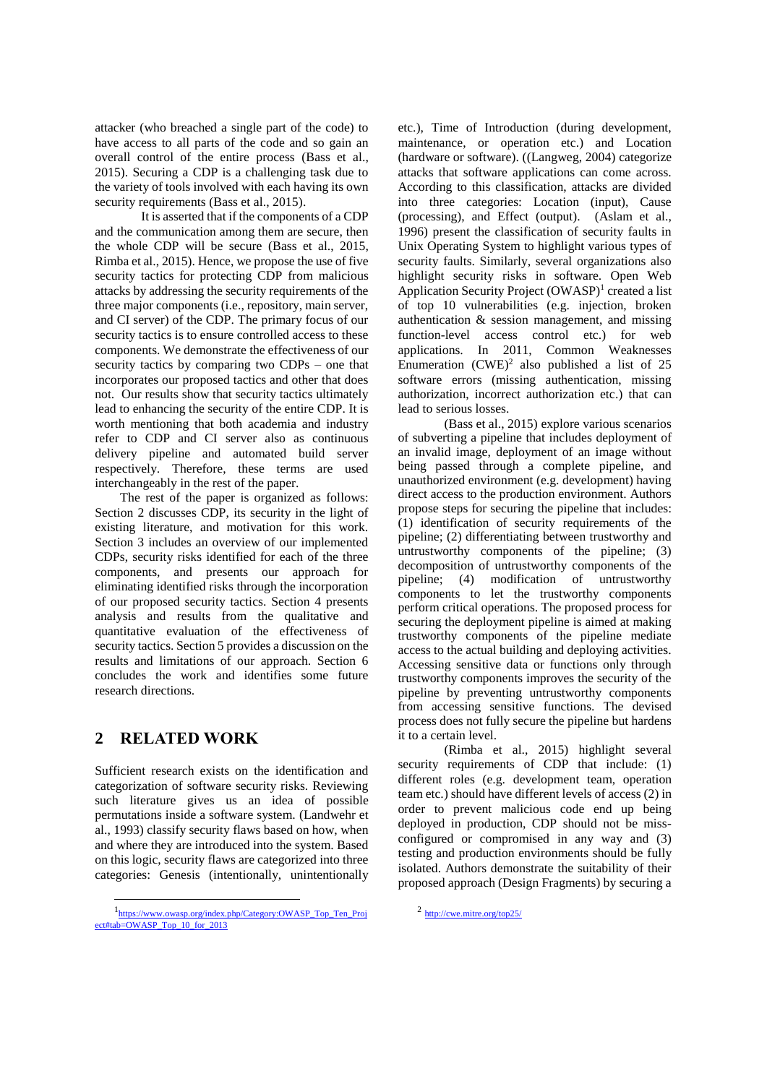attacker (who breached a single part of the code) to have access to all parts of the code and so gain an overall control of the entire process (Bass et al., 2015). Securing a CDP is a challenging task due to the variety of tools involved with each having its own security requirements (Bass et al., 2015).

It is asserted that if the components of a CDP and the communication among them are secure, then the whole CDP will be secure (Bass et al., 2015, Rimba et al., 2015). Hence, we propose the use of five security tactics for protecting CDP from malicious attacks by addressing the security requirements of the three major components (i.e., repository, main server, and CI server) of the CDP. The primary focus of our security tactics is to ensure controlled access to these components. We demonstrate the effectiveness of our security tactics by comparing two CDPs – one that incorporates our proposed tactics and other that does not. Our results show that security tactics ultimately lead to enhancing the security of the entire CDP. It is worth mentioning that both academia and industry refer to CDP and CI server also as continuous delivery pipeline and automated build server respectively. Therefore, these terms are used interchangeably in the rest of the paper.

The rest of the paper is organized as follows: Section 2 discusses CDP, its security in the light of existing literature, and motivation for this work. Section 3 includes an overview of our implemented CDPs, security risks identified for each of the three components, and presents our approach for eliminating identified risks through the incorporation of our proposed security tactics. Section 4 presents analysis and results from the qualitative and quantitative evaluation of the effectiveness of security tactics. Section 5 provides a discussion on the results and limitations of our approach. Section 6 concludes the work and identifies some future research directions.

# **2 RELATED WORK**

 $\overline{\phantom{a}}$ 

Sufficient research exists on the identification and categorization of software security risks. Reviewing such literature gives us an idea of possible permutations inside a software system. (Landwehr et al., 1993) classify security flaws based on how, when and where they are introduced into the system. Based on this logic, security flaws are categorized into three categories: Genesis (intentionally, unintentionally etc.), Time of Introduction (during development, maintenance, or operation etc.) and Location (hardware or software). ((Langweg, 2004) categorize attacks that software applications can come across. According to this classification, attacks are divided into three categories: Location (input), Cause (processing), and Effect (output). (Aslam et al., 1996) present the classification of security faults in Unix Operating System to highlight various types of security faults. Similarly, several organizations also highlight security risks in software. Open Web Application Security Project (OWASP)<sup>1</sup> created a list of top 10 vulnerabilities (e.g. injection, broken authentication & session management, and missing function-level access control etc.) for web applications. In 2011, Common Weaknesses Enumeration  $(CWE)^2$  also published a list of 25 software errors (missing authentication, missing authorization, incorrect authorization etc.) that can lead to serious losses.

(Bass et al., 2015) explore various scenarios of subverting a pipeline that includes deployment of an invalid image, deployment of an image without being passed through a complete pipeline, and unauthorized environment (e.g. development) having direct access to the production environment. Authors propose steps for securing the pipeline that includes: (1) identification of security requirements of the pipeline; (2) differentiating between trustworthy and untrustworthy components of the pipeline; (3) decomposition of untrustworthy components of the pipeline; (4) modification of untrustworthy components to let the trustworthy components perform critical operations. The proposed process for securing the deployment pipeline is aimed at making trustworthy components of the pipeline mediate access to the actual building and deploying activities. Accessing sensitive data or functions only through trustworthy components improves the security of the pipeline by preventing untrustworthy components from accessing sensitive functions. The devised process does not fully secure the pipeline but hardens it to a certain level.

(Rimba et al., 2015) highlight several security requirements of CDP that include: (1) different roles (e.g. development team, operation team etc.) should have different levels of access (2) in order to prevent malicious code end up being deployed in production, CDP should not be missconfigured or compromised in any way and (3) testing and production environments should be fully isolated. Authors demonstrate the suitability of their proposed approach (Design Fragments) by securing a

<sup>1</sup> [https://www.owasp.org/index.php/Category:OWASP\\_Top\\_Ten\\_Proj](https://www.owasp.org/index.php/Category:OWASP_Top_Ten_Project#tab=OWASP_Top_10_for_2013) [ect#tab=OWASP\\_Top\\_10\\_for\\_2013](https://www.owasp.org/index.php/Category:OWASP_Top_Ten_Project#tab=OWASP_Top_10_for_2013)

<sup>&</sup>lt;sup>2</sup> <http://cwe.mitre.org/top25/>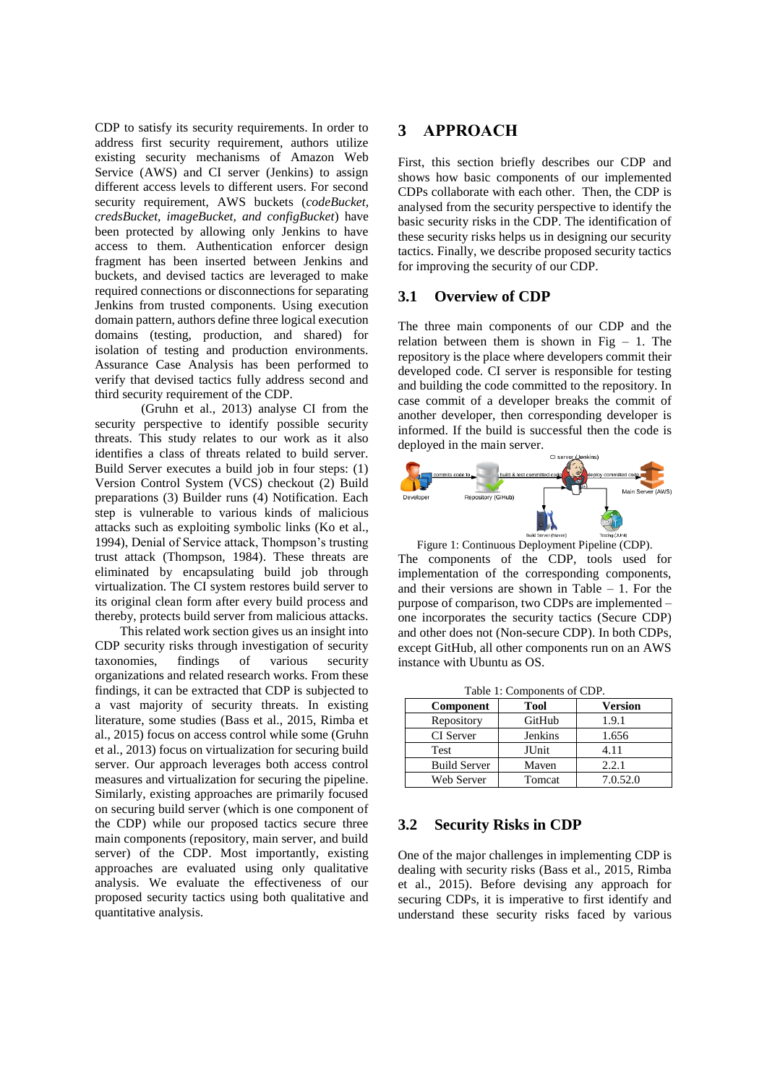CDP to satisfy its security requirements. In order to address first security requirement, authors utilize existing security mechanisms of Amazon Web Service (AWS) and CI server (Jenkins) to assign different access levels to different users. For second security requirement, AWS buckets (*codeBucket, credsBucket, imageBucket, and configBucket*) have been protected by allowing only Jenkins to have access to them. Authentication enforcer design fragment has been inserted between Jenkins and buckets, and devised tactics are leveraged to make required connections or disconnections for separating Jenkins from trusted components. Using execution domain pattern, authors define three logical execution domains (testing, production, and shared) for isolation of testing and production environments. Assurance Case Analysis has been performed to verify that devised tactics fully address second and third security requirement of the CDP.

(Gruhn et al., 2013) analyse CI from the security perspective to identify possible security threats. This study relates to our work as it also identifies a class of threats related to build server. Build Server executes a build job in four steps: (1) Version Control System (VCS) checkout (2) Build preparations (3) Builder runs (4) Notification. Each step is vulnerable to various kinds of malicious attacks such as exploiting symbolic links (Ko et al., 1994), Denial of Service attack, Thompson's trusting trust attack (Thompson, 1984). These threats are eliminated by encapsulating build job through virtualization. The CI system restores build server to its original clean form after every build process and thereby, protects build server from malicious attacks.

This related work section gives us an insight into CDP security risks through investigation of security taxonomies, findings of various security organizations and related research works. From these findings, it can be extracted that CDP is subjected to a vast majority of security threats. In existing literature, some studies (Bass et al., 2015, Rimba et al., 2015) focus on access control while some (Gruhn et al., 2013) focus on virtualization for securing build server. Our approach leverages both access control measures and virtualization for securing the pipeline. Similarly, existing approaches are primarily focused on securing build server (which is one component of the CDP) while our proposed tactics secure three main components (repository, main server, and build server) of the CDP. Most importantly, existing approaches are evaluated using only qualitative analysis. We evaluate the effectiveness of our proposed security tactics using both qualitative and quantitative analysis.

# **3 APPROACH**

First, this section briefly describes our CDP and shows how basic components of our implemented CDPs collaborate with each other. Then, the CDP is analysed from the security perspective to identify the basic security risks in the CDP. The identification of these security risks helps us in designing our security tactics. Finally, we describe proposed security tactics for improving the security of our CDP.

# **3.1 Overview of CDP**

The three main components of our CDP and the relation between them is shown in Fig  $-1$ . The repository is the place where developers commit their developed code. CI server is responsible for testing and building the code committed to the repository. In case commit of a developer breaks the commit of another developer, then corresponding developer is informed. If the build is successful then the code is deployed in the main server.



Figure 1: Continuous Deployment Pipeline (CDP). The components of the CDP, tools used for implementation of the corresponding components, and their versions are shown in Table  $-1$ . For the purpose of comparison, two CDPs are implemented – one incorporates the security tactics (Secure CDP) and other does not (Non-secure CDP). In both CDPs, except GitHub, all other components run on an AWS instance with Ubuntu as OS.

| Table 1: Components of CDP. |  |  |  |  |  |
|-----------------------------|--|--|--|--|--|
|-----------------------------|--|--|--|--|--|

| Component           | <b>Tool</b> | <b>Version</b> |
|---------------------|-------------|----------------|
| Repository          | GitHub      | 1.9.1          |
| <b>CI</b> Server    | Jenkins     | 1.656          |
| Test                | JUnit       | 4.11           |
| <b>Build Server</b> | Maven       | 2.2.1          |
| Web Server          | Tomcat      | 7.0.52.0       |

## **3.2 Security Risks in CDP**

One of the major challenges in implementing CDP is dealing with security risks (Bass et al., 2015, Rimba et al., 2015). Before devising any approach for securing CDPs, it is imperative to first identify and understand these security risks faced by various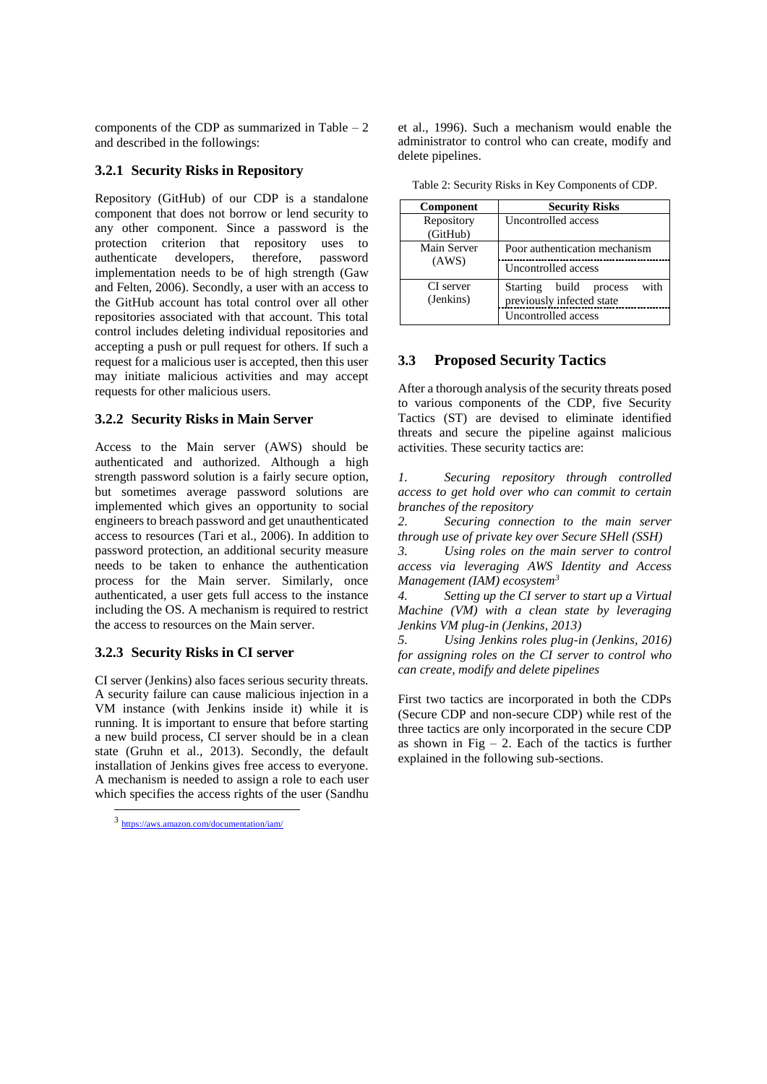components of the CDP as summarized in Table  $-2$ and described in the followings:

## **3.2.1 Security Risks in Repository**

Repository (GitHub) of our CDP is a standalone component that does not borrow or lend security to any other component. Since a password is the protection criterion that repository uses to authenticate developers, therefore, password implementation needs to be of high strength (Gaw and Felten, 2006). Secondly, a user with an access to the GitHub account has total control over all other repositories associated with that account. This total control includes deleting individual repositories and accepting a push or pull request for others. If such a request for a malicious user is accepted, then this user may initiate malicious activities and may accept requests for other malicious users.

# **3.2.2 Security Risks in Main Server**

Access to the Main server (AWS) should be authenticated and authorized. Although a high strength password solution is a fairly secure option, but sometimes average password solutions are implemented which gives an opportunity to social engineers to breach password and get unauthenticated access to resources (Tari et al., 2006). In addition to password protection, an additional security measure needs to be taken to enhance the authentication process for the Main server. Similarly, once authenticated, a user gets full access to the instance including the OS. A mechanism is required to restrict the access to resources on the Main server.

## **3.2.3 Security Risks in CI server**

CI server (Jenkins) also faces serious security threats. A security failure can cause malicious injection in a VM instance (with Jenkins inside it) while it is running. It is important to ensure that before starting a new build process, CI server should be in a clean state (Gruhn et al., 2013). Secondly, the default installation of Jenkins gives free access to everyone. A mechanism is needed to assign a role to each user which specifies the access rights of the user (Sandhu

 $\overline{a}$ 

et al., 1996). Such a mechanism would enable the administrator to control who can create, modify and delete pipelines.

| Component              | <b>Security Risks</b>             |
|------------------------|-----------------------------------|
| Repository<br>(GitHub) | Uncontrolled access               |
| Main Server            | Poor authentication mechanism     |
| (AWS)                  | Uncontrolled access               |
| CI server              | with<br>Starting build<br>process |
| (Jenkins)              | previously infected state         |
|                        | Uncontrolled access               |

Table 2: Security Risks in Key Components of CDP.

# **3.3 Proposed Security Tactics**

After a thorough analysis of the security threats posed to various components of the CDP, five Security Tactics (ST) are devised to eliminate identified threats and secure the pipeline against malicious activities. These security tactics are:

*1. Securing repository through controlled access to get hold over who can commit to certain branches of the repository*

*2. Securing connection to the main server through use of private key over Secure SHell (SSH)*

*3. Using roles on the main server to control access via leveraging AWS Identity and Access Management (IAM) ecosystem<sup>3</sup>*

*4. Setting up the CI server to start up a Virtual Machine (VM) with a clean state by leveraging Jenkins VM plug-in (Jenkins, 2013)*

*5. Using Jenkins roles plug-in (Jenkins, 2016) for assigning roles on the CI server to control who can create, modify and delete pipelines*

First two tactics are incorporated in both the CDPs (Secure CDP and non-secure CDP) while rest of the three tactics are only incorporated in the secure CDP as shown in Fig  $-2$ . Each of the tactics is further explained in the following sub-sections.

<sup>3</sup> <https://aws.amazon.com/documentation/iam/>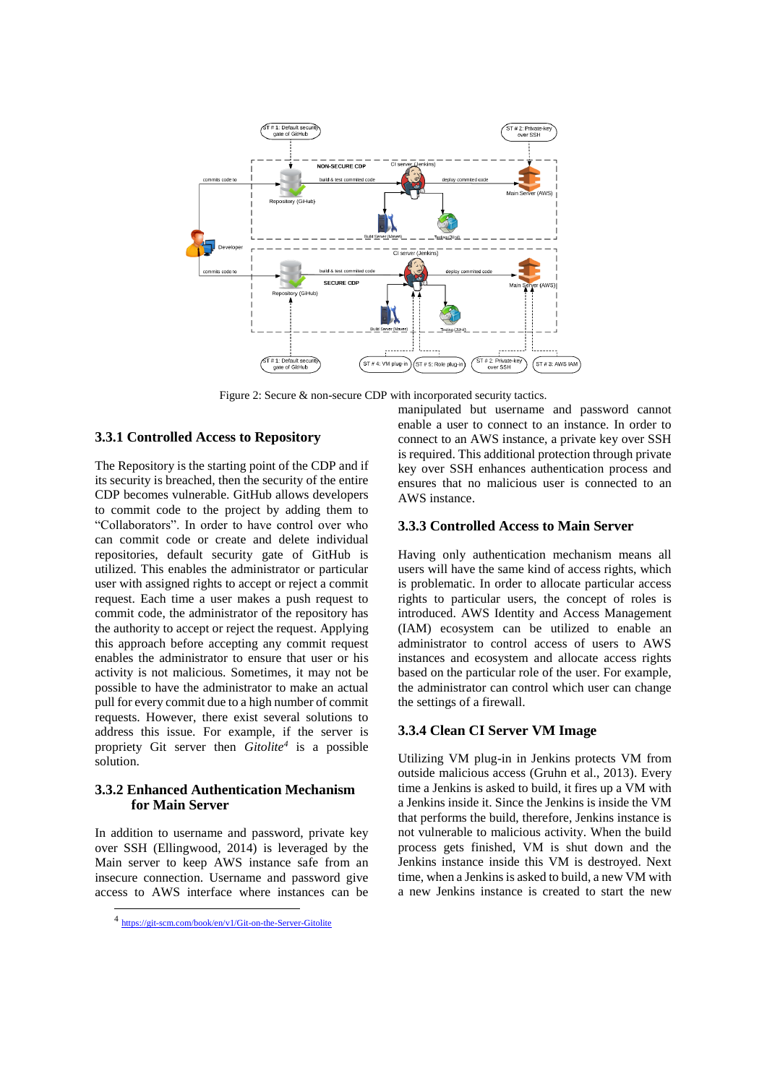

Figure 2: Secure & non-secure CDP with incorporated security tactics.

## **3.3.1 Controlled Access to Repository**

The Repository is the starting point of the CDP and if its security is breached, then the security of the entire CDP becomes vulnerable. GitHub allows developers to commit code to the project by adding them to "Collaborators". In order to have control over who can commit code or create and delete individual repositories, default security gate of GitHub is utilized. This enables the administrator or particular user with assigned rights to accept or reject a commit request. Each time a user makes a push request to commit code, the administrator of the repository has the authority to accept or reject the request. Applying this approach before accepting any commit request enables the administrator to ensure that user or his activity is not malicious. Sometimes, it may not be possible to have the administrator to make an actual pull for every commit due to a high number of commit requests. However, there exist several solutions to address this issue. For example, if the server is propriety Git server then *Gitolite<sup>4</sup>* is a possible solution.

# **3.3.2 Enhanced Authentication Mechanism for Main Server**

In addition to username and password, private key over SSH (Ellingwood, 2014) is leveraged by the Main server to keep AWS instance safe from an insecure connection. Username and password give access to AWS interface where instances can be

 $\overline{a}$ 

manipulated but username and password cannot enable a user to connect to an instance. In order to connect to an AWS instance, a private key over SSH is required. This additional protection through private key over SSH enhances authentication process and ensures that no malicious user is connected to an AWS instance.

#### **3.3.3 Controlled Access to Main Server**

Having only authentication mechanism means all users will have the same kind of access rights, which is problematic. In order to allocate particular access rights to particular users, the concept of roles is introduced. AWS Identity and Access Management (IAM) ecosystem can be utilized to enable an administrator to control access of users to AWS instances and ecosystem and allocate access rights based on the particular role of the user. For example, the administrator can control which user can change the settings of a firewall.

## **3.3.4 Clean CI Server VM Image**

Utilizing VM plug-in in Jenkins protects VM from outside malicious access (Gruhn et al., 2013). Every time a Jenkins is asked to build, it fires up a VM with a Jenkins inside it. Since the Jenkins is inside the VM that performs the build, therefore, Jenkins instance is not vulnerable to malicious activity. When the build process gets finished, VM is shut down and the Jenkins instance inside this VM is destroyed. Next time, when a Jenkins is asked to build, a new VM with a new Jenkins instance is created to start the new

<sup>4</sup> <https://git-scm.com/book/en/v1/Git-on-the-Server-Gitolite>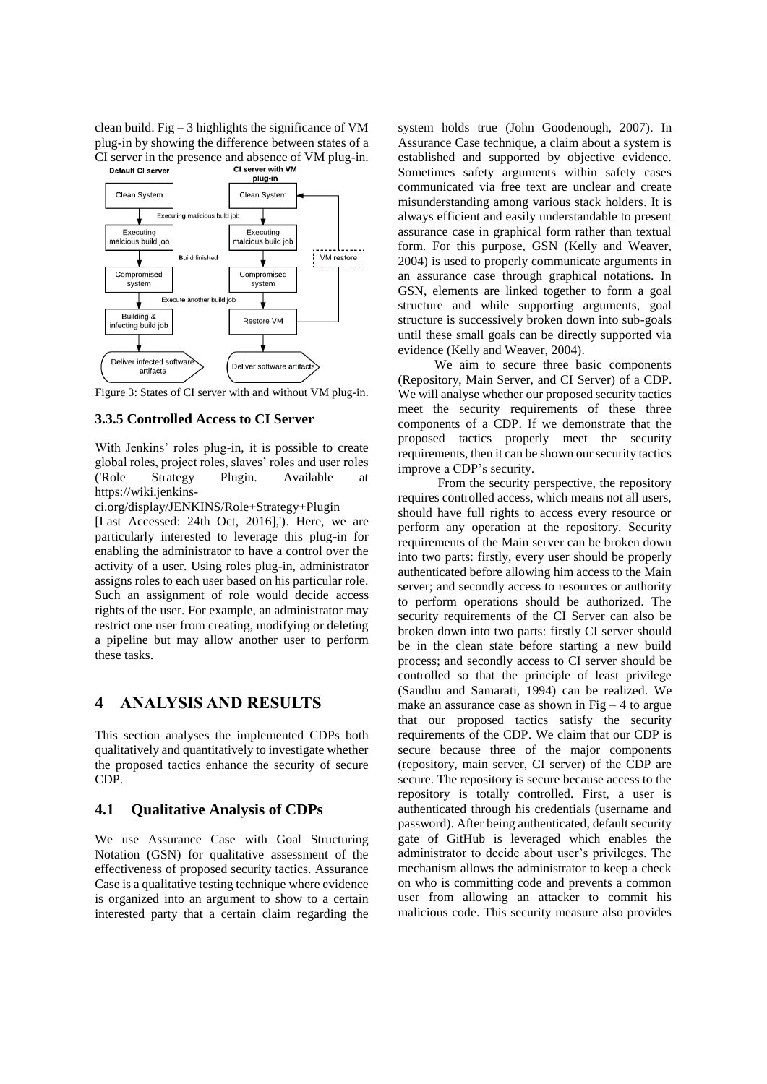clean build. Fig  $-3$  highlights the significance of VM plug-in by showing the difference between states of a CI server in the presence and absence of VM plug-in.<br> **CI server with VM** 



Figure 3: States of CI server with and without VM plug-in.

## **3.3.5 Controlled Access to CI Server**

With Jenkins' roles plug-in, it is possible to create global roles, project roles, slaves' roles and user roles ('Role Strategy Plugin. Available at https://wiki.jenkins-

ci.org/display/JENKINS/Role+Strategy+Plugin

[Last Accessed: 24th Oct, 2016],'). Here, we are particularly interested to leverage this plug-in for enabling the administrator to have a control over the activity of a user. Using roles plug-in, administrator assigns roles to each user based on his particular role. Such an assignment of role would decide access rights of the user. For example, an administrator may restrict one user from creating, modifying or deleting a pipeline but may allow another user to perform these tasks.

# **4 ANALYSIS AND RESULTS**

This section analyses the implemented CDPs both qualitatively and quantitatively to investigate whether the proposed tactics enhance the security of secure CDP.

# **4.1 Qualitative Analysis of CDPs**

We use Assurance Case with Goal Structuring Notation (GSN) for qualitative assessment of the effectiveness of proposed security tactics. Assurance Case is a qualitative testing technique where evidence is organized into an argument to show to a certain interested party that a certain claim regarding the system holds true (John Goodenough, 2007). In Assurance Case technique, a claim about a system is established and supported by objective evidence. Sometimes safety arguments within safety cases communicated via free text are unclear and create misunderstanding among various stack holders. It is always efficient and easily understandable to present assurance case in graphical form rather than textual form. For this purpose, GSN (Kelly and Weaver, 2004) is used to properly communicate arguments in an assurance case through graphical notations. In GSN, elements are linked together to form a goal structure and while supporting arguments, goal structure is successively broken down into sub-goals until these small goals can be directly supported via evidence (Kelly and Weaver, 2004).

We aim to secure three basic components (Repository, Main Server, and CI Server) of a CDP. We will analyse whether our proposed security tactics meet the security requirements of these three components of a CDP. If we demonstrate that the proposed tactics properly meet the security requirements, then it can be shown our security tactics improve a CDP's security.

From the security perspective, the repository requires controlled access, which means not all users, should have full rights to access every resource or perform any operation at the repository. Security requirements of the Main server can be broken down into two parts: firstly, every user should be properly authenticated before allowing him access to the Main server; and secondly access to resources or authority to perform operations should be authorized. The security requirements of the CI Server can also be broken down into two parts: firstly CI server should be in the clean state before starting a new build process; and secondly access to CI server should be controlled so that the principle of least privilege (Sandhu and Samarati, 1994) can be realized. We make an assurance case as shown in  $Fig - 4$  to argue that our proposed tactics satisfy the security requirements of the CDP. We claim that our CDP is secure because three of the major components (repository, main server, CI server) of the CDP are secure. The repository is secure because access to the repository is totally controlled. First, a user is authenticated through his credentials (username and password). After being authenticated, default security gate of GitHub is leveraged which enables the administrator to decide about user's privileges. The mechanism allows the administrator to keep a check on who is committing code and prevents a common user from allowing an attacker to commit his malicious code. This security measure also provides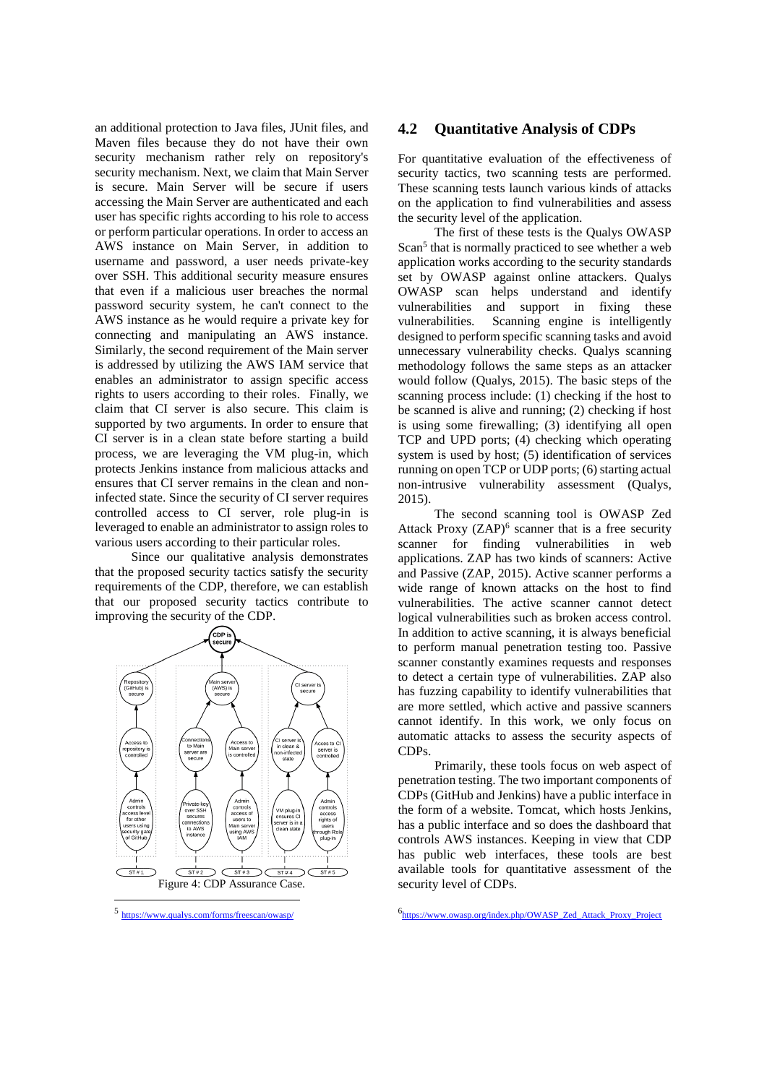an additional protection to Java files, JUnit files, and Maven files because they do not have their own security mechanism rather rely on repository's security mechanism. Next, we claim that Main Server is secure. Main Server will be secure if users accessing the Main Server are authenticated and each user has specific rights according to his role to access or perform particular operations. In order to access an AWS instance on Main Server, in addition to username and password, a user needs private-key over SSH. This additional security measure ensures that even if a malicious user breaches the normal password security system, he can't connect to the AWS instance as he would require a private key for connecting and manipulating an AWS instance. Similarly, the second requirement of the Main server is addressed by utilizing the AWS IAM service that enables an administrator to assign specific access rights to users according to their roles. Finally, we claim that CI server is also secure. This claim is supported by two arguments. In order to ensure that CI server is in a clean state before starting a build process, we are leveraging the VM plug-in, which protects Jenkins instance from malicious attacks and ensures that CI server remains in the clean and noninfected state. Since the security of CI server requires controlled access to CI server, role plug-in is leveraged to enable an administrator to assign roles to various users according to their particular roles.

Since our qualitative analysis demonstrates that the proposed security tactics satisfy the security requirements of the CDP, therefore, we can establish that our proposed security tactics contribute to improving the security of the CDP.



<sup>5</sup> <https://www.qualys.com/forms/freescan/owasp/>

 $\overline{a}$ 

### **4.2 Quantitative Analysis of CDPs**

For quantitative evaluation of the effectiveness of security tactics, two scanning tests are performed. These scanning tests launch various kinds of attacks on the application to find vulnerabilities and assess the security level of the application.

The first of these tests is the Qualys OWASP Scan<sup>5</sup> that is normally practiced to see whether a web application works according to the security standards set by OWASP against online attackers. Qualys OWASP scan helps understand and identify vulnerabilities and support in fixing these vulnerabilities. Scanning engine is intelligently designed to perform specific scanning tasks and avoid unnecessary vulnerability checks. Qualys scanning methodology follows the same steps as an attacker would follow (Qualys, 2015). The basic steps of the scanning process include: (1) checking if the host to be scanned is alive and running; (2) checking if host is using some firewalling; (3) identifying all open TCP and UPD ports; (4) checking which operating system is used by host; (5) identification of services running on open TCP or UDP ports; (6) starting actual non-intrusive vulnerability assessment (Qualys, 2015).

The second scanning tool is OWASP Zed Attack Proxy  $(ZAP)^6$  scanner that is a free security scanner for finding vulnerabilities in web applications. ZAP has two kinds of scanners: Active and Passive (ZAP, 2015). Active scanner performs a wide range of known attacks on the host to find vulnerabilities. The active scanner cannot detect logical vulnerabilities such as broken access control. In addition to active scanning, it is always beneficial to perform manual penetration testing too. Passive scanner constantly examines requests and responses to detect a certain type of vulnerabilities. ZAP also has fuzzing capability to identify vulnerabilities that are more settled, which active and passive scanners cannot identify. In this work, we only focus on automatic attacks to assess the security aspects of CDPs.

Primarily, these tools focus on web aspect of penetration testing. The two important components of CDPs (GitHub and Jenkins) have a public interface in the form of a website. Tomcat, which hosts Jenkins, has a public interface and so does the dashboard that controls AWS instances. Keeping in view that CDP has public web interfaces, these tools are best available tools for quantitative assessment of the security level of CDPs.

6 [https://www.owasp.org/index.php/OWASP\\_Zed\\_Attack\\_Proxy\\_Project](https://www.owasp.org/index.php/OWASP_Zed_Attack_Proxy_Project)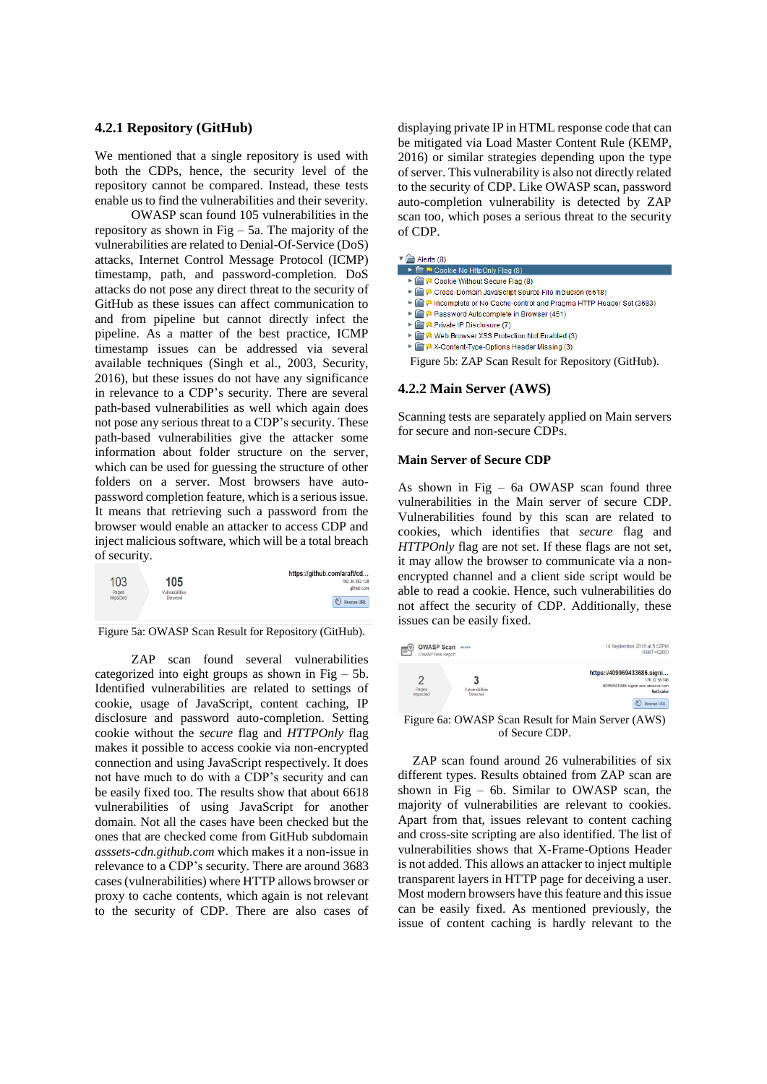## **4.2.1 Repository (GitHub)**

We mentioned that a single repository is used with both the CDPs, hence, the security level of the repository cannot be compared. Instead, these tests enable us to find the vulnerabilities and their severity.

OWASP scan found 105 vulnerabilities in the repository as shown in Fig  $-$  5a. The majority of the vulnerabilities are related to Denial-Of-Service (DoS) attacks, Internet Control Message Protocol (ICMP) timestamp, path, and password-completion. DoS attacks do not pose any direct threat to the security of GitHub as these issues can affect communication to and from pipeline but cannot directly infect the pipeline. As a matter of the best practice, ICMP timestamp issues can be addressed via several available techniques (Singh et al., 2003, Security, 2016), but these issues do not have any significance in relevance to a CDP's security. There are several path-based vulnerabilities as well which again does not pose any serious threat to a CDP's security. These path-based vulnerabilities give the attacker some information about folder structure on the server, which can be used for guessing the structure of other folders on a server. Most browsers have autopassword completion feature, which is a serious issue. It means that retrieving such a password from the browser would enable an attacker to access CDP and inject malicious software, which will be a total breach of security.

| 103<br>Pages | 105<br>Vulnerabilities | https://github.com/araft/cd<br>192.30.252.12<br>aithub.co |
|--------------|------------------------|-----------------------------------------------------------|
| Impacted     | Detected               | $\mathfrak{C}$<br><b>Rescan URL</b>                       |

Figure 5a: OWASP Scan Result for Repository (GitHub).

ZAP scan found several vulnerabilities categorized into eight groups as shown in Fig  $-5b$ . Identified vulnerabilities are related to settings of cookie, usage of JavaScript, content caching, IP disclosure and password auto-completion. Setting cookie without the *secure* flag and *HTTPOnly* flag makes it possible to access cookie via non-encrypted connection and using JavaScript respectively. It does not have much to do with a CDP's security and can be easily fixed too. The results show that about 6618 vulnerabilities of using JavaScript for another domain. Not all the cases have been checked but the ones that are checked come from GitHub subdomain *asssets-cdn.github.com* which makes it a non-issue in relevance to a CDP's security. There are around 3683 cases (vulnerabilities) where HTTP allows browser or proxy to cache contents, which again is not relevant to the security of CDP. There are also cases of displaying private IP in HTML response code that can be mitigated via Load Master Content Rule (KEMP, 2016) or similar strategies depending upon the type of server. This vulnerability is also not directly related to the security of CDP. Like OWASP scan, password auto-completion vulnerability is detected by ZAP scan too, which poses a serious threat to the security of CDP.

#### $\mathbf{F} \equiv \mathbf{A}$  erts (8)

- E P Cookie No HttpOnly Flag (8) P Cookie Without Secure Flag (8)
- P Cross-Domain JavaScript Source File Inclusion (6618)
- P Incomplete or No Cache-control and Pragma HTTP Header Set (3683)
- P Password Autocomplete in Browser (451)
- P Private IP Disclosure (7)
- P Meb Browser XSS Protection Not Enabled (3)
- ▶ Pu X-Content-Type-Options Header Missing (3)
- Figure 5b: ZAP Scan Result for Repository (GitHub).

#### **4.2.2 Main Server (AWS)**

Scanning tests are separately applied on Main servers for secure and non-secure CDPs.

#### **Main Server of Secure CDP**

As shown in Fig – 6a OWASP scan found three vulnerabilities in the Main server of secure CDP. Vulnerabilities found by this scan are related to cookies, which identifies that *secure* flag and *HTTPOnly* flag are not set. If these flags are not set, it may allow the browser to communicate via a nonencrypted channel and a client side script would be able to read a cookie. Hence, such vulnerabilities do not affect the security of CDP. Additionally, these issues can be easily fixed.

| 14 September 2016 at 5:02PM<br>$(GMT+0200)$                                                                                |                             | <b>OWASP Scan rename</b><br><b>OWASP Risk Report</b> | ⊫౪ |
|----------------------------------------------------------------------------------------------------------------------------|-----------------------------|------------------------------------------------------|----|
| https://409969433686.signi<br>176.32.98.146<br>409969433686.signin.aws.amazon.com<br><b>NetScaler</b><br><b>Rescan URL</b> | Vulnerabilities<br>Detected | Pages<br>Impacted                                    |    |

Figure 6a: OWASP Scan Result for Main Server (AWS) of Secure CDP.

ZAP scan found around 26 vulnerabilities of six different types. Results obtained from ZAP scan are shown in Fig – 6b. Similar to OWASP scan, the majority of vulnerabilities are relevant to cookies. Apart from that, issues relevant to content caching and cross-site scripting are also identified. The list of vulnerabilities shows that X-Frame-Options Header is not added. This allows an attacker to inject multiple transparent layers in HTTP page for deceiving a user. Most modern browsers have this feature and this issue can be easily fixed. As mentioned previously, the issue of content caching is hardly relevant to the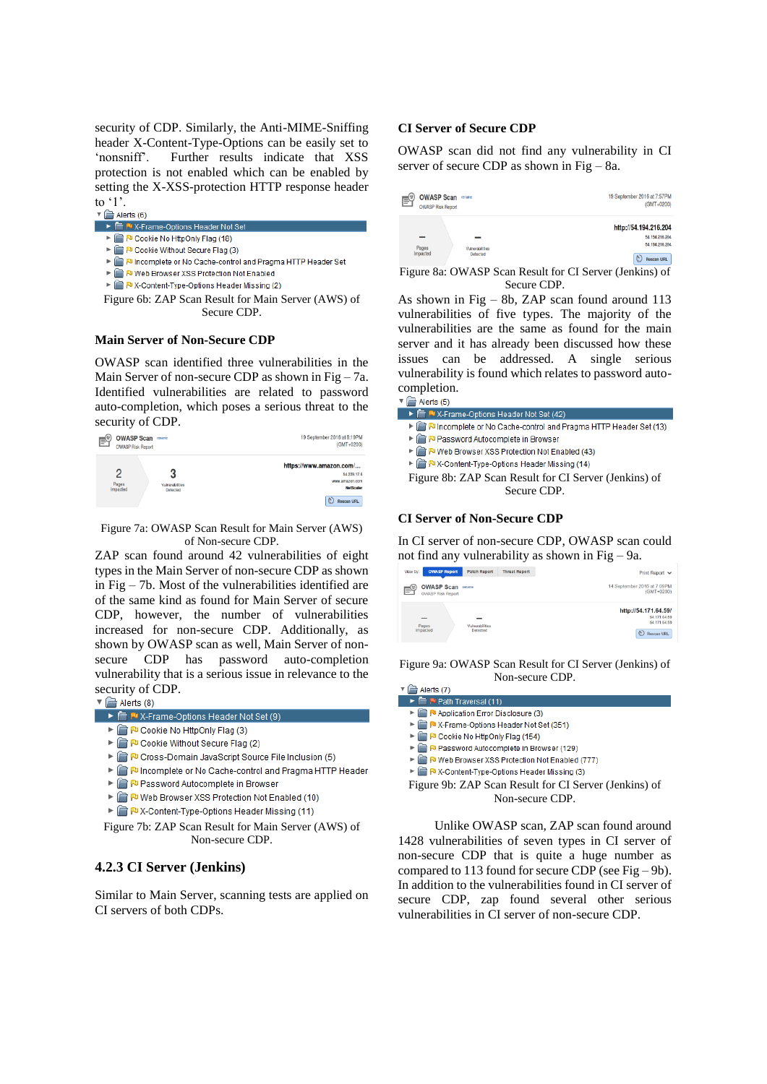security of CDP. Similarly, the Anti-MIME-Sniffing header X-Content-Type-Options can be easily set to 'nonsniff'. Further results indicate that XSS protection is not enabled which can be enabled by setting the X-XSS-protection HTTP response header to '1'.

|  | Aleits to |
|--|-----------|
|  |           |

- Options Header Not Set P Cookie No HttpOnly Flag (18)
- P Cookie Without Secure Flag (3)
- Incomplete or No Cache-control and Pragma HTTP Header Set
- ID Web Browser XSS Protection Not Enabled
- ▶ P X-Content-Type-Options Header Missing (2)

Figure 6b: ZAP Scan Result for Main Server (AWS) of Secure CDP.

#### **Main Server of Non-Secure CDP**

OWASP scan identified three vulnerabilities in the Main Server of non-secure CDP as shown in Fig  $-7a$ . Identified vulnerabilities are related to password auto-completion, which poses a serious threat to the



#### Figure 7a: OWASP Scan Result for Main Server (AWS) of Non-secure CDP.

ZAP scan found around 42 vulnerabilities of eight types in the Main Server of non-secure CDP as shown in Fig – 7b. Most of the vulnerabilities identified are of the same kind as found for Main Server of secure CDP, however, the number of vulnerabilities increased for non-secure CDP. Additionally, as shown by OWASP scan as well, Main Server of nonsecure CDP has password auto-completion vulnerability that is a serious issue in relevance to the security of CDP.<br> $\nabla \bigoplus_{\text{Alerts (8)}}$ 

| ▶ E M X-Frame-Options Header Not Set (9) |  |
|------------------------------------------|--|
|                                          |  |

- ▶ a P Cookie No HttpOnly Flag (3)
- P Cookie Without Secure Flag (2)
- P Cross-Domain JavaScript Source File Inclusion (5)
- IN Incomplete or No Cache-control and Pragma HTTP Header
- P Password Autocomplete in Browser
- ▶ P Web Browser XSS Protection Not Enabled (10)
- ▶ PV-Content-Type-Options Header Missing (11)

Figure 7b: ZAP Scan Result for Main Server (AWS) of Non-secure CDP.

## **4.2.3 CI Server (Jenkins)**

Similar to Main Server, scanning tests are applied on CI servers of both CDPs.

#### **CI Server of Secure CDP**

OWASP scan did not find any vulnerability in CI server of secure CDP as shown in Fig – 8a.

| Γç | <b>OWASP Scan</b><br><b>OWASP Risk Report</b> | rename                             | 19 September 2016 at 7:57PM<br>$(GMT + 0200)$                                           |
|----|-----------------------------------------------|------------------------------------|-----------------------------------------------------------------------------------------|
|    | –<br>Pages<br>Impacted                        | Vulnerabilities<br><b>Detected</b> | http://54.194.216.204<br>54.194.216.204<br>54, 194, 216, 204<br>V,<br><b>Rescan URL</b> |

Figure 8a: OWASP Scan Result for CI Server (Jenkins) of Secure CDP.

As shown in Fig – 8b, ZAP scan found around 113 vulnerabilities of five types. The majority of the vulnerabilities are the same as found for the main server and it has already been discussed how these issues can be addressed. A single serious vulnerability is found which relates to password autocompletion.

| Alerts (5)                                                           |
|----------------------------------------------------------------------|
| ▶ F M X-Frame-Options Header Not Set (42)                            |
| ▶ PIncomplete or No Cache-control and Pragma HTTP Header Set (13)    |
| ▶ Password Autocomplete in Browser                                   |
| ▶ P Web Browser XSS Protection Not Enabled (43)                      |
| ▶ <b>A</b> P <sup>D</sup> X-Content-Type-Options Header Missing (14) |
| Figure 8b: ZAP Scan Result for CI Server (Jenkins) of                |
| Secure CDP.                                                          |
|                                                                      |
|                                                                      |

### **CI Server of Non-Secure CDP**

In CI server of non-secure CDP, OWASP scan could not find any vulnerability as shown in Fig – 9a.

| <b>OWASP Report</b><br>View by:                    | <b>Patch Report</b>         | <b>Threat Report</b><br>Print Report $\sqrt{}$                                       |
|----------------------------------------------------|-----------------------------|--------------------------------------------------------------------------------------|
| <b>OWASP Scan</b><br>E<br><b>OWASP Risk Report</b> | rename                      | 14 September 2016 at 7:09PM<br>(GMT+0200)                                            |
| -<br>Pages<br>Impacted                             | Vulnerabilities<br>Detected | http://54.171.64.59/<br>54.171.64.59<br>54.171.64.59<br>$\circ$<br><b>Rescan URL</b> |

Figure 9a: OWASP Scan Result for CI Server (Jenkins) of Non-secure CDP.

| Alerts (7)                                 |
|--------------------------------------------|
| ▶ F Pu Path Traversal (11)                 |
| ▶ <b>Application Error Disclosure (3)</b>  |
| ▶ a P X-Frame-Options Header Not Set (351) |
| ▶ a P Cookie No HttpOnly Flag (154)        |

- P Password Autocomplete in Browser (129)
- P Web Browser XSS Protection Not Enabled (777)
- ▶ PV-Content-Type-Options Header Missing (3)
- 
- Figure 9b: ZAP Scan Result for CI Server (Jenkins) of Non-secure CDP.

Unlike OWASP scan, ZAP scan found around 1428 vulnerabilities of seven types in CI server of non-secure CDP that is quite a huge number as compared to 113 found for secure CDP (see Fig – 9b). In addition to the vulnerabilities found in CI server of secure CDP, zap found several other serious vulnerabilities in CI server of non-secure CDP.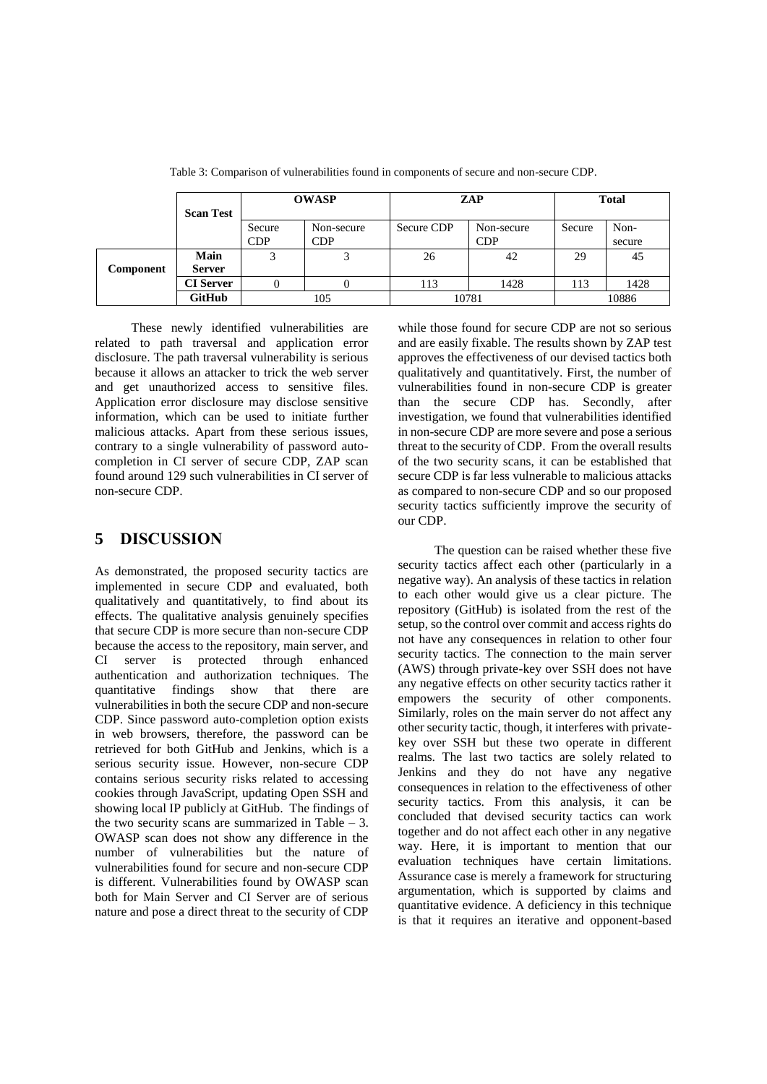|           | <b>Scan Test</b>      |                      | <b>OWASP</b><br>ZAP      |            |                          | <b>Total</b> |                |
|-----------|-----------------------|----------------------|--------------------------|------------|--------------------------|--------------|----------------|
|           |                       | Secure<br><b>CDP</b> | Non-secure<br><b>CDP</b> | Secure CDP | Non-secure<br><b>CDP</b> | Secure       | Non-<br>secure |
| Component | Main<br><b>Server</b> | 3                    | 3                        | 26         | 42                       | 29           | 45             |
|           | <b>CI</b> Server      |                      |                          | 113        | 1428                     | 113          | 1428           |
|           | <b>GitHub</b>         | 105                  |                          | 10781      |                          | 10886        |                |

Table 3: Comparison of vulnerabilities found in components of secure and non-secure CDP.

These newly identified vulnerabilities are related to path traversal and application error disclosure. The path traversal vulnerability is serious because it allows an attacker to trick the web server and get unauthorized access to sensitive files. Application error disclosure may disclose sensitive information, which can be used to initiate further malicious attacks. Apart from these serious issues, contrary to a single vulnerability of password autocompletion in CI server of secure CDP, ZAP scan found around 129 such vulnerabilities in CI server of non-secure CDP.

# **5 DISCUSSION**

As demonstrated, the proposed security tactics are implemented in secure CDP and evaluated, both qualitatively and quantitatively, to find about its effects. The qualitative analysis genuinely specifies that secure CDP is more secure than non-secure CDP because the access to the repository, main server, and CI server is protected through enhanced authentication and authorization techniques. The quantitative findings show that there are vulnerabilities in both the secure CDP and non-secure CDP. Since password auto-completion option exists in web browsers, therefore, the password can be retrieved for both GitHub and Jenkins, which is a serious security issue. However, non-secure CDP contains serious security risks related to accessing cookies through JavaScript, updating Open SSH and showing local IP publicly at GitHub. The findings of the two security scans are summarized in Table  $-3$ . OWASP scan does not show any difference in the number of vulnerabilities but the nature of vulnerabilities found for secure and non-secure CDP is different. Vulnerabilities found by OWASP scan both for Main Server and CI Server are of serious nature and pose a direct threat to the security of CDP

while those found for secure CDP are not so serious and are easily fixable. The results shown by ZAP test approves the effectiveness of our devised tactics both qualitatively and quantitatively. First, the number of vulnerabilities found in non-secure CDP is greater than the secure CDP has. Secondly, after investigation, we found that vulnerabilities identified in non-secure CDP are more severe and pose a serious threat to the security of CDP. From the overall results of the two security scans, it can be established that secure CDP is far less vulnerable to malicious attacks as compared to non-secure CDP and so our proposed security tactics sufficiently improve the security of our CDP.

The question can be raised whether these five security tactics affect each other (particularly in a negative way). An analysis of these tactics in relation to each other would give us a clear picture. The repository (GitHub) is isolated from the rest of the setup, so the control over commit and access rights do not have any consequences in relation to other four security tactics. The connection to the main server (AWS) through private-key over SSH does not have any negative effects on other security tactics rather it empowers the security of other components. Similarly, roles on the main server do not affect any other security tactic, though, it interferes with privatekey over SSH but these two operate in different realms. The last two tactics are solely related to Jenkins and they do not have any negative consequences in relation to the effectiveness of other security tactics. From this analysis, it can be concluded that devised security tactics can work together and do not affect each other in any negative way. Here, it is important to mention that our evaluation techniques have certain limitations. Assurance case is merely a framework for structuring argumentation, which is supported by claims and quantitative evidence. A deficiency in this technique is that it requires an iterative and opponent-based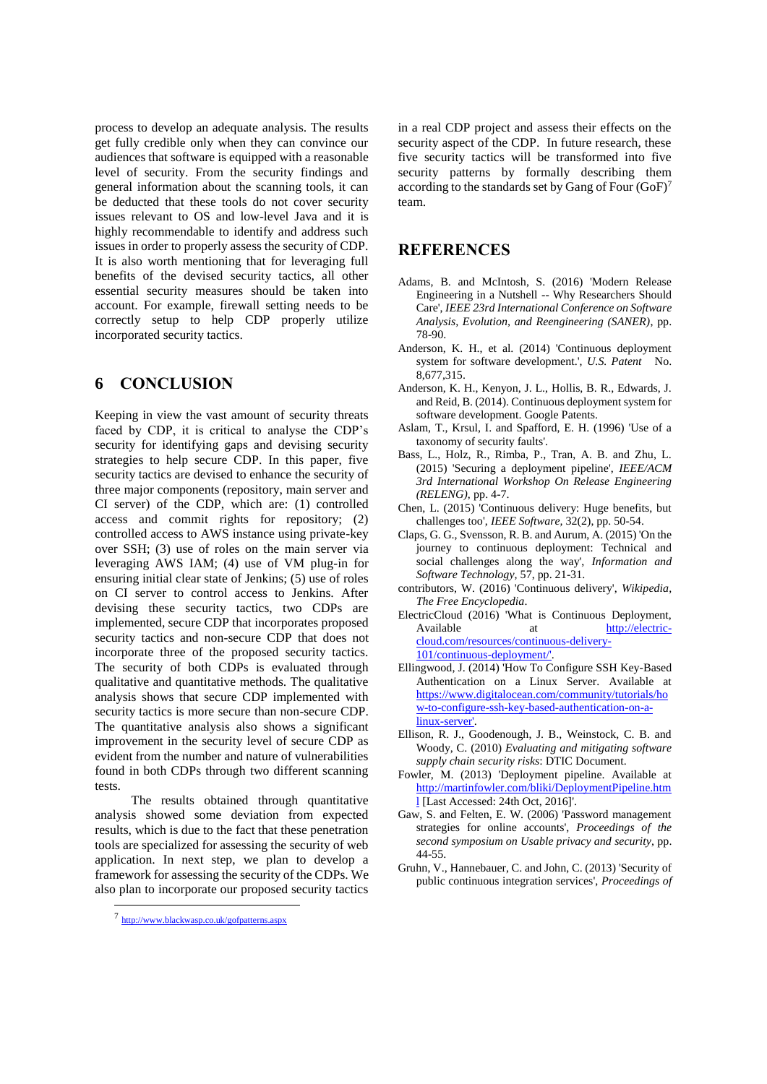process to develop an adequate analysis. The results get fully credible only when they can convince our audiences that software is equipped with a reasonable level of security. From the security findings and general information about the scanning tools, it can be deducted that these tools do not cover security issues relevant to OS and low-level Java and it is highly recommendable to identify and address such issues in order to properly assess the security of CDP. It is also worth mentioning that for leveraging full benefits of the devised security tactics, all other essential security measures should be taken into account. For example, firewall setting needs to be correctly setup to help CDP properly utilize incorporated security tactics.

# **6 CONCLUSION**

Keeping in view the vast amount of security threats faced by CDP, it is critical to analyse the CDP's security for identifying gaps and devising security strategies to help secure CDP. In this paper, five security tactics are devised to enhance the security of three major components (repository, main server and CI server) of the CDP, which are: (1) controlled access and commit rights for repository; (2) controlled access to AWS instance using private-key over SSH; (3) use of roles on the main server via leveraging AWS IAM; (4) use of VM plug-in for ensuring initial clear state of Jenkins; (5) use of roles on CI server to control access to Jenkins. After devising these security tactics, two CDPs are implemented, secure CDP that incorporates proposed security tactics and non-secure CDP that does not incorporate three of the proposed security tactics. The security of both CDPs is evaluated through qualitative and quantitative methods. The qualitative analysis shows that secure CDP implemented with security tactics is more secure than non-secure CDP. The quantitative analysis also shows a significant improvement in the security level of secure CDP as evident from the number and nature of vulnerabilities found in both CDPs through two different scanning tests.

The results obtained through quantitative analysis showed some deviation from expected results, which is due to the fact that these penetration tools are specialized for assessing the security of web application. In next step, we plan to develop a framework for assessing the security of the CDPs. We also plan to incorporate our proposed security tactics

 $\overline{a}$ 

in a real CDP project and assess their effects on the security aspect of the CDP. In future research, these five security tactics will be transformed into five security patterns by formally describing them according to the standards set by Gang of Four  $(GoF)^7$ team.

# **REFERENCES**

- Adams, B. and McIntosh, S. (2016) 'Modern Release Engineering in a Nutshell -- Why Researchers Should Care', *IEEE 23rd International Conference on Software Analysis, Evolution, and Reengineering (SANER)*, pp. 78-90.
- Anderson, K. H., et al. (2014) 'Continuous deployment system for software development.', U.S. Patent No. 8,677,315.
- Anderson, K. H., Kenyon, J. L., Hollis, B. R., Edwards, J. and Reid, B. (2014). Continuous deployment system for software development. Google Patents.
- Aslam, T., Krsul, I. and Spafford, E. H. (1996) 'Use of a taxonomy of security faults'.
- Bass, L., Holz, R., Rimba, P., Tran, A. B. and Zhu, L. (2015) 'Securing a deployment pipeline', *IEEE/ACM 3rd International Workshop On Release Engineering (RELENG)*, pp. 4-7.
- Chen, L. (2015) 'Continuous delivery: Huge benefits, but challenges too', *IEEE Software,* 32(2), pp. 50-54.
- Claps, G. G., Svensson, R. B. and Aurum, A. (2015) 'On the journey to continuous deployment: Technical and social challenges along the way', *Information and Software Technology,* 57, pp. 21-31.
- contributors, W. (2016) 'Continuous delivery', *Wikipedia, The Free Encyclopedia*.
- ElectricCloud (2016) 'What is Continuous Deployment, Available at [http://electric](http://electric-cloud.com/resources/continuous-delivery-101/continuous-deployment/)[cloud.com/resources/continuous-delivery-](http://electric-cloud.com/resources/continuous-delivery-101/continuous-deployment/)[101/continuous-deployment/'.](http://electric-cloud.com/resources/continuous-delivery-101/continuous-deployment/)
- Ellingwood, J. (2014) 'How To Configure SSH Key-Based Authentication on a Linux Server. Available at [https://www.digitalocean.com/community/tutorials/ho](https://www.digitalocean.com/community/tutorials/how-to-configure-ssh-key-based-authentication-on-a-linux-server) [w-to-configure-ssh-key-based-authentication-on-a](https://www.digitalocean.com/community/tutorials/how-to-configure-ssh-key-based-authentication-on-a-linux-server)[linux-server'.](https://www.digitalocean.com/community/tutorials/how-to-configure-ssh-key-based-authentication-on-a-linux-server)
- Ellison, R. J., Goodenough, J. B., Weinstock, C. B. and Woody, C. (2010) *Evaluating and mitigating software supply chain security risks*: DTIC Document.
- Fowler, M. (2013) 'Deployment pipeline. Available at [http://martinfowler.com/bliki/DeploymentPipeline.htm](http://martinfowler.com/bliki/DeploymentPipeline.html) [l](http://martinfowler.com/bliki/DeploymentPipeline.html) [Last Accessed: 24th Oct, 2016]'.
- Gaw, S. and Felten, E. W. (2006) 'Password management strategies for online accounts', *Proceedings of the second symposium on Usable privacy and security*, pp. 44-55.
- Gruhn, V., Hannebauer, C. and John, C. (2013) 'Security of public continuous integration services', *Proceedings of*

<sup>7</sup> <http://www.blackwasp.co.uk/gofpatterns.aspx>